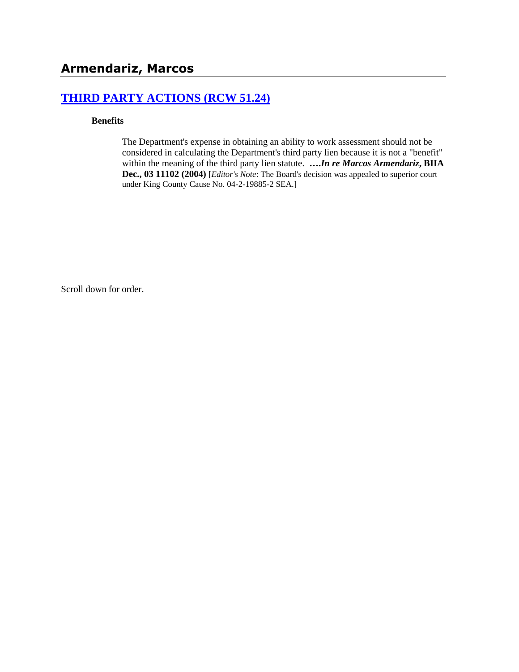## **[THIRD PARTY ACTIONS \(RCW 51.24\)](http://www.biia.wa.gov/SDSubjectIndex.html#THIRD_PARTY_ACTIONS)**

#### **Benefits**

The Department's expense in obtaining an ability to work assessment should not be considered in calculating the Department's third party lien because it is not a "benefit" within the meaning of the third party lien statute. **….***In re Marcos Armendariz***, BIIA Dec., 03 11102 (2004)** [*Editor's Note*: The Board's decision was appealed to superior court under King County Cause No. 04-2-19885-2 SEA.]

Scroll down for order.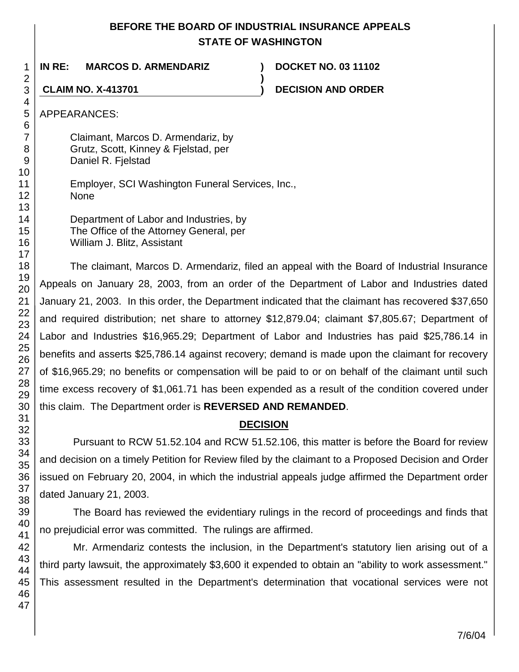## **BEFORE THE BOARD OF INDUSTRIAL INSURANCE APPEALS STATE OF WASHINGTON**

**)**

**IN RE: MARCOS D. ARMENDARIZ ) DOCKET NO. 03 11102**

**CLAIM NO. X-413701 ) DECISION AND ORDER**

APPEARANCES:

Claimant, Marcos D. Armendariz, by Grutz, Scott, Kinney & Fjelstad, per Daniel R. Fjelstad

Employer, SCI Washington Funeral Services, Inc., None

Department of Labor and Industries, by The Office of the Attorney General, per William J. Blitz, Assistant

The claimant, Marcos D. Armendariz, filed an appeal with the Board of Industrial Insurance Appeals on January 28, 2003, from an order of the Department of Labor and Industries dated January 21, 2003. In this order, the Department indicated that the claimant has recovered \$37,650 and required distribution; net share to attorney \$12,879.04; claimant \$7,805.67; Department of Labor and Industries \$16,965.29; Department of Labor and Industries has paid \$25,786.14 in benefits and asserts \$25,786.14 against recovery; demand is made upon the claimant for recovery of \$16,965.29; no benefits or compensation will be paid to or on behalf of the claimant until such time excess recovery of \$1,061.71 has been expended as a result of the condition covered under this claim. The Department order is **REVERSED AND REMANDED**.

# **DECISION**

Pursuant to RCW 51.52.104 and RCW 51.52.106, this matter is before the Board for review and decision on a timely Petition for Review filed by the claimant to a Proposed Decision and Order issued on February 20, 2004, in which the industrial appeals judge affirmed the Department order dated January 21, 2003.

The Board has reviewed the evidentiary rulings in the record of proceedings and finds that no prejudicial error was committed. The rulings are affirmed.

Mr. Armendariz contests the inclusion, in the Department's statutory lien arising out of a third party lawsuit, the approximately \$3,600 it expended to obtain an "ability to work assessment." This assessment resulted in the Department's determination that vocational services were not

1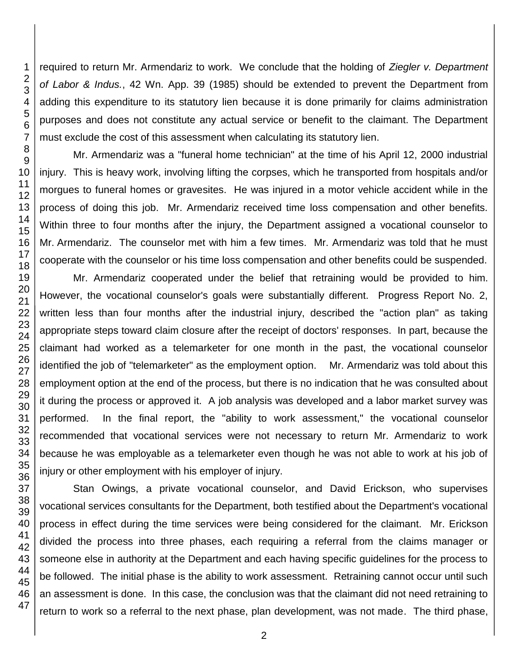required to return Mr. Armendariz to work. We conclude that the holding of *Ziegler v. Department of Labor & Indus.*, 42 Wn. App. 39 (1985) should be extended to prevent the Department from adding this expenditure to its statutory lien because it is done primarily for claims administration purposes and does not constitute any actual service or benefit to the claimant. The Department must exclude the cost of this assessment when calculating its statutory lien.

Mr. Armendariz was a "funeral home technician" at the time of his April 12, 2000 industrial injury. This is heavy work, involving lifting the corpses, which he transported from hospitals and/or morgues to funeral homes or gravesites. He was injured in a motor vehicle accident while in the process of doing this job. Mr. Armendariz received time loss compensation and other benefits. Within three to four months after the injury, the Department assigned a vocational counselor to Mr. Armendariz. The counselor met with him a few times. Mr. Armendariz was told that he must cooperate with the counselor or his time loss compensation and other benefits could be suspended.

Mr. Armendariz cooperated under the belief that retraining would be provided to him. However, the vocational counselor's goals were substantially different. Progress Report No. 2, written less than four months after the industrial injury, described the "action plan" as taking appropriate steps toward claim closure after the receipt of doctors' responses. In part, because the claimant had worked as a telemarketer for one month in the past, the vocational counselor identified the job of "telemarketer" as the employment option. Mr. Armendariz was told about this employment option at the end of the process, but there is no indication that he was consulted about it during the process or approved it. A job analysis was developed and a labor market survey was performed. In the final report, the "ability to work assessment," the vocational counselor recommended that vocational services were not necessary to return Mr. Armendariz to work because he was employable as a telemarketer even though he was not able to work at his job of injury or other employment with his employer of injury.

Stan Owings, a private vocational counselor, and David Erickson, who supervises vocational services consultants for the Department, both testified about the Department's vocational process in effect during the time services were being considered for the claimant. Mr. Erickson divided the process into three phases, each requiring a referral from the claims manager or someone else in authority at the Department and each having specific guidelines for the process to be followed. The initial phase is the ability to work assessment. Retraining cannot occur until such an assessment is done. In this case, the conclusion was that the claimant did not need retraining to return to work so a referral to the next phase, plan development, was not made. The third phase,

2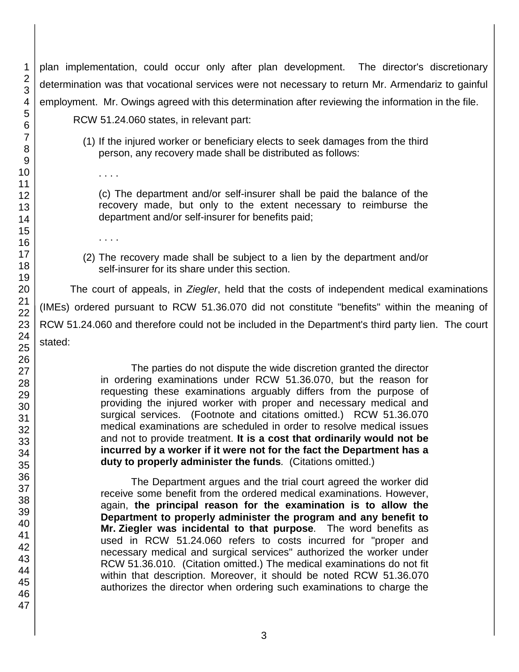plan implementation, could occur only after plan development. The director's discretionary determination was that vocational services were not necessary to return Mr. Armendariz to gainful employment. Mr. Owings agreed with this determination after reviewing the information in the file. RCW 51.24.060 states, in relevant part:

> (1) If the injured worker or beneficiary elects to seek damages from the third person, any recovery made shall be distributed as follows:

(c) The department and/or self-insurer shall be paid the balance of the recovery made, but only to the extent necessary to reimburse the department and/or self-insurer for benefits paid;

(2) The recovery made shall be subject to a lien by the department and/or self-insurer for its share under this section.

The court of appeals, in *Ziegler*, held that the costs of independent medical examinations (IMEs) ordered pursuant to RCW 51.36.070 did not constitute "benefits" within the meaning of RCW 51.24.060 and therefore could not be included in the Department's third party lien. The court stated:

> The parties do not dispute the wide discretion granted the director in ordering examinations under RCW 51.36.070, but the reason for requesting these examinations arguably differs from the purpose of providing the injured worker with proper and necessary medical and surgical services. (Footnote and citations omitted.) RCW 51.36.070 medical examinations are scheduled in order to resolve medical issues and not to provide treatment. **It is a cost that ordinarily would not be incurred by a worker if it were not for the fact the Department has a duty to properly administer the funds***.* (Citations omitted.)

> The Department argues and the trial court agreed the worker did receive some benefit from the ordered medical examinations. However, again, **the principal reason for the examination is to allow the Department to properly administer the program and any benefit to Mr. Ziegler was incidental to that purpose***.* The word benefits as used in RCW 51.24.060 refers to costs incurred for "proper and necessary medical and surgical services" authorized the worker under RCW 51.36.010. (Citation omitted.) The medical examinations do not fit within that description. Moreover, it should be noted RCW 51.36.070 authorizes the director when ordering such examinations to charge the

. . . .

. . . .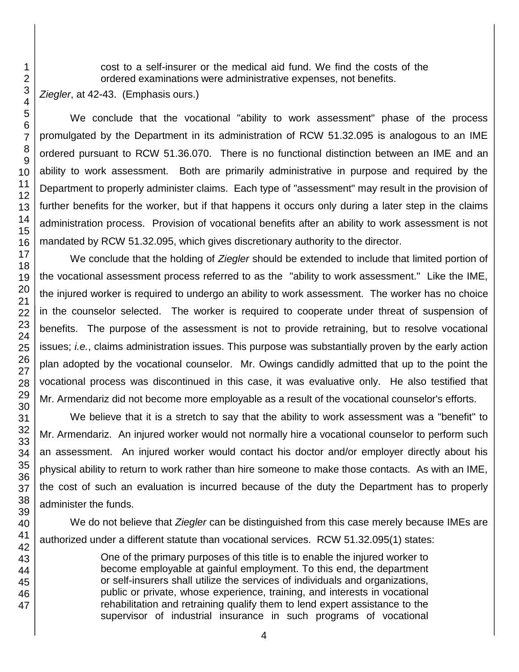cost to a self-insurer or the medical aid fund. We find the costs of the ordered examinations were administrative expenses, not benefits.

*Ziegler*, at 42-43. (Emphasis ours.)

We conclude that the vocational "ability to work assessment" phase of the process promulgated by the Department in its administration of RCW 51.32.095 is analogous to an IME ordered pursuant to RCW 51.36.070. There is no functional distinction between an IME and an ability to work assessment. Both are primarily administrative in purpose and required by the Department to properly administer claims. Each type of "assessment" may result in the provision of further benefits for the worker, but if that happens it occurs only during a later step in the claims administration process. Provision of vocational benefits after an ability to work assessment is not mandated by RCW 51.32.095, which gives discretionary authority to the director.

We conclude that the holding of *Ziegler* should be extended to include that limited portion of the vocational assessment process referred to as the "ability to work assessment." Like the IME, the injured worker is required to undergo an ability to work assessment. The worker has no choice in the counselor selected. The worker is required to cooperate under threat of suspension of benefits. The purpose of the assessment is not to provide retraining, but to resolve vocational issues; *i.e.*, claims administration issues. This purpose was substantially proven by the early action plan adopted by the vocational counselor. Mr. Owings candidly admitted that up to the point the vocational process was discontinued in this case, it was evaluative only. He also testified that Mr. Armendariz did not become more employable as a result of the vocational counselor's efforts.

We believe that it is a stretch to say that the ability to work assessment was a "benefit" to Mr. Armendariz. An injured worker would not normally hire a vocational counselor to perform such an assessment. An injured worker would contact his doctor and/or employer directly about his physical ability to return to work rather than hire someone to make those contacts. As with an IME, the cost of such an evaluation is incurred because of the duty the Department has to properly administer the funds.

We do not believe that *Ziegler* can be distinguished from this case merely because IMEs are authorized under a different statute than vocational services. RCW 51.32.095(1) states:

> One of the primary purposes of this title is to enable the injured worker to become employable at gainful employment. To this end, the department or self-insurers shall utilize the services of individuals and organizations, public or private, whose experience, training, and interests in vocational rehabilitation and retraining qualify them to lend expert assistance to the supervisor of industrial insurance in such programs of vocational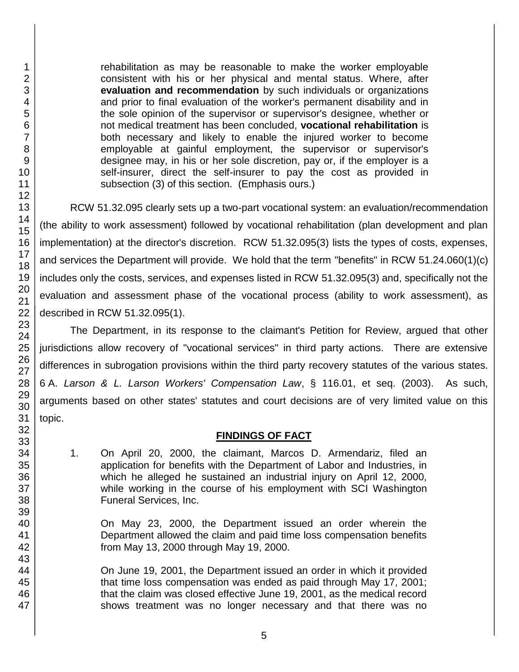rehabilitation as may be reasonable to make the worker employable consistent with his or her physical and mental status. Where, after **evaluation and recommendation** by such individuals or organizations and prior to final evaluation of the worker's permanent disability and in the sole opinion of the supervisor or supervisor's designee, whether or not medical treatment has been concluded, **vocational rehabilitation** is both necessary and likely to enable the injured worker to become employable at gainful employment, the supervisor or supervisor's designee may, in his or her sole discretion, pay or, if the employer is a self-insurer, direct the self-insurer to pay the cost as provided in subsection (3) of this section. (Emphasis ours.)

RCW 51.32.095 clearly sets up a two-part vocational system: an evaluation/recommendation (the ability to work assessment) followed by vocational rehabilitation (plan development and plan implementation) at the director's discretion. RCW 51.32.095(3) lists the types of costs, expenses, and services the Department will provide. We hold that the term "benefits" in RCW 51.24.060(1)(c) includes only the costs, services, and expenses listed in RCW 51.32.095(3) and, specifically not the evaluation and assessment phase of the vocational process (ability to work assessment), as described in RCW 51.32.095(1).

The Department, in its response to the claimant's Petition for Review, argued that other jurisdictions allow recovery of "vocational services" in third party actions. There are extensive differences in subrogation provisions within the third party recovery statutes of the various states. 6 A. *Larson & L. Larson Workers' Compensation Law*, § 116.01, et seq. (2003). As such, arguments based on other states' statutes and court decisions are of very limited value on this topic.

#### **FINDINGS OF FACT**

1. On April 20, 2000, the claimant, Marcos D. Armendariz, filed an application for benefits with the Department of Labor and Industries, in which he alleged he sustained an industrial injury on April 12, 2000. while working in the course of his employment with SCI Washington Funeral Services, Inc.

On May 23, 2000, the Department issued an order wherein the Department allowed the claim and paid time loss compensation benefits from May 13, 2000 through May 19, 2000.

On June 19, 2001, the Department issued an order in which it provided that time loss compensation was ended as paid through May 17, 2001; that the claim was closed effective June 19, 2001, as the medical record shows treatment was no longer necessary and that there was no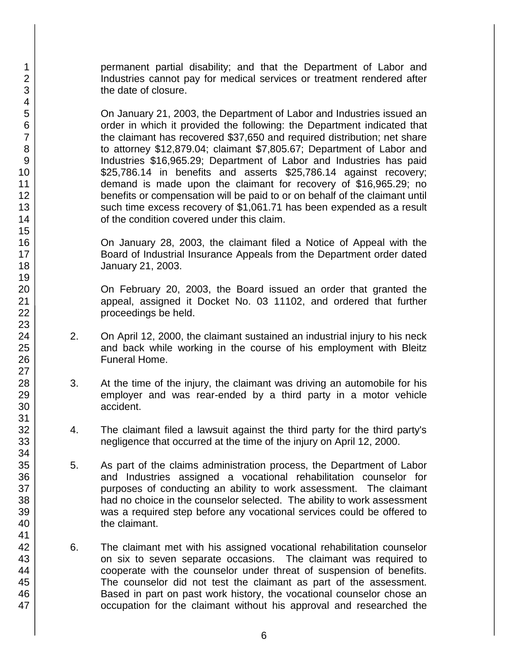permanent partial disability; and that the Department of Labor and Industries cannot pay for medical services or treatment rendered after the date of closure.

On January 21, 2003, the Department of Labor and Industries issued an order in which it provided the following: the Department indicated that the claimant has recovered \$37,650 and required distribution; net share to attorney \$12,879.04; claimant \$7,805.67; Department of Labor and Industries \$16,965.29; Department of Labor and Industries has paid \$25,786.14 in benefits and asserts \$25,786.14 against recovery; demand is made upon the claimant for recovery of \$16,965.29; no benefits or compensation will be paid to or on behalf of the claimant until such time excess recovery of \$1,061.71 has been expended as a result of the condition covered under this claim.

On January 28, 2003, the claimant filed a Notice of Appeal with the Board of Industrial Insurance Appeals from the Department order dated January 21, 2003.

On February 20, 2003, the Board issued an order that granted the appeal, assigned it Docket No. 03 11102, and ordered that further proceedings be held.

- 2. On April 12, 2000, the claimant sustained an industrial injury to his neck and back while working in the course of his employment with Bleitz Funeral Home.
- 3. At the time of the injury, the claimant was driving an automobile for his employer and was rear-ended by a third party in a motor vehicle accident.
- 4. The claimant filed a lawsuit against the third party for the third party's negligence that occurred at the time of the injury on April 12, 2000.
- 5. As part of the claims administration process, the Department of Labor and Industries assigned a vocational rehabilitation counselor for purposes of conducting an ability to work assessment. The claimant had no choice in the counselor selected. The ability to work assessment was a required step before any vocational services could be offered to the claimant.
- 6. The claimant met with his assigned vocational rehabilitation counselor on six to seven separate occasions. The claimant was required to cooperate with the counselor under threat of suspension of benefits. The counselor did not test the claimant as part of the assessment. Based in part on past work history, the vocational counselor chose an occupation for the claimant without his approval and researched the

1